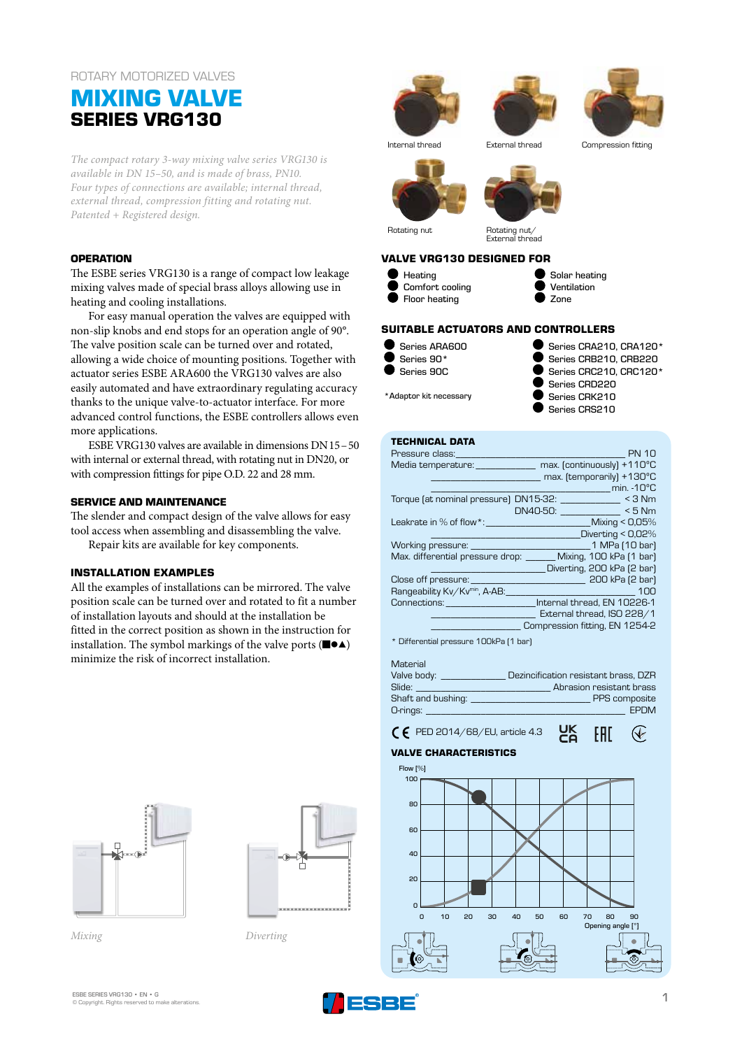# ROTARY MOTORIZED VALVES

# **MIXING VALVE SERIES VRG130**

*The compact rotary 3-way mixing valve series VRG130 is available in DN 15–50, and is made of brass, PN10. Four types of connections are available; internal thread, external thread, compression fitting and rotating nut. Patented + Registered design.* 

#### **OPERATION**

The ESBE series VRG130 is a range of compact low leakage mixing valves made of special brass alloys allowing use in heating and cooling installations.

For easy manual operation the valves are equipped with non-slip knobs and end stops for an operation angle of 90°. The valve position scale can be turned over and rotated, allowing a wide choice of mounting positions. Together with actuator series ESBE ARA600 the VRG130 valves are also easily automated and have extraordinary regulating accuracy thanks to the unique valve-to-actuator interface. For more advanced control functions, the ESBE controllers allows even more applications.

ESBE VRG130 valves are available in dimensions DN15–50 with internal or external thread, with rotating nut in DN20, or with compression fittings for pipe O.D. 22 and 28 mm.

### **SERVICE AND MAINTENANCE**

The slender and compact design of the valve allows for easy tool access when assembling and disassembling the valve. Repair kits are available for key components.

#### **INSTALLATION EXAMPLES**

All the examples of installations can be mirrored. The valve position scale can be turned over and rotated to fit a number of installation layouts and should at the installation be fitted in the correct position as shown in the instruction for installation. The symbol markings of the valve ports (■●▲) minimize the risk of incorrect installation.





*Mixing Diverting*



# **TECHNICAL DATA**

| Pressure class:                                                                                                                                                                                                                | <b>PN 10</b>                                     |
|--------------------------------------------------------------------------------------------------------------------------------------------------------------------------------------------------------------------------------|--------------------------------------------------|
| Media temperature: when the control of the control of the control of the control of the control of the control of the control of the control of the control of the control of the control of the control of the control of the | max. (continuously) +110°C                       |
|                                                                                                                                                                                                                                | max. (temporarily) +130°C                        |
|                                                                                                                                                                                                                                | min. $-10^{\circ}$ C<br><b>Contract Contract</b> |
| Torque (at nominal pressure) DN15-32: _______________ < 3 Nm                                                                                                                                                                   |                                                  |
|                                                                                                                                                                                                                                | DN40-50: <5 Nm                                   |
| Leakrate in $\%$ of flow $*$ :                                                                                                                                                                                                 | Mixing < 0,05%                                   |
|                                                                                                                                                                                                                                | Diverting < 0,02%                                |
|                                                                                                                                                                                                                                |                                                  |
| Max. differential pressure drop: ______ Mixing, 100 kPa [1 bar]                                                                                                                                                                |                                                  |
|                                                                                                                                                                                                                                | Diverting, 200 kPa (2 bar)                       |
| Close off pressure: 200 kPa (2 bar)                                                                                                                                                                                            |                                                  |
| Rangeability Kv/Kvmin, A-AB:                                                                                                                                                                                                   | 100                                              |
| Connections: Connections: Connections: Connections: Connections:                                                                                                                                                               |                                                  |
|                                                                                                                                                                                                                                | External thread, ISO 228/1                       |
|                                                                                                                                                                                                                                | Compression fitting, EN 1254-2                   |
|                                                                                                                                                                                                                                |                                                  |

\* Differential pressure 100kPa (1 bar)

Material<br>Valve body: Valve body: \_\_\_\_\_\_\_\_\_\_\_\_\_ Dezincification resistant brass, DZR Abrasion resistant brass Shaft and bushing: \_\_\_\_\_\_\_\_\_\_\_\_\_\_\_\_\_\_\_\_\_\_\_\_ PPS composite O-rings: \_\_\_\_\_\_\_\_\_\_\_\_\_\_\_\_\_\_\_\_\_\_\_\_\_\_\_\_\_\_\_\_\_\_\_\_\_\_\_\_ EPDM

UK<br>Co

EAD

 $\mathcal Q$ 

# $\zeta$   $\zeta$  PED 2014/68/EU, article 4.3

## **VALVE CHARACTERISTICS**



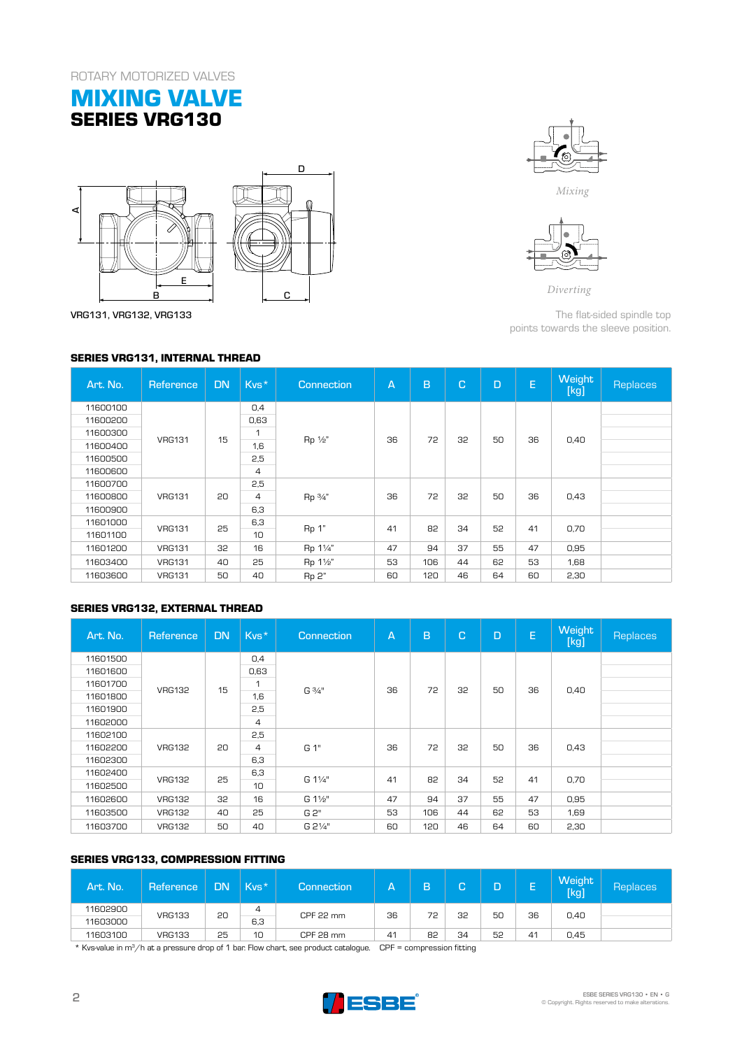# **MIXING VALVE SERIES VRG130**





VRG131, VRG132, VRG133

## **SERIES VRG131, INTERNAL THREAD**



*Mixing*



*Diverting*

The flat-sided spindle top points towards the sleeve position.

| Art. No. | Reference     | <b>DN</b> | Kvs*            | Connection | $\overline{A}$ | B   | C. | D  | E  | <b>Weight</b><br>[kg] | Replaces |  |  |    |    |  |  |  |
|----------|---------------|-----------|-----------------|------------|----------------|-----|----|----|----|-----------------------|----------|--|--|----|----|--|--|--|
| 11600100 |               |           | 0.4             |            |                |     |    |    |    |                       |          |  |  |    |    |  |  |  |
| 11600200 |               |           | 0,63            | Rp 1/2"    | 36             | 72  | 32 | 50 | 36 | 0,40                  |          |  |  |    |    |  |  |  |
| 11600300 | <b>VRG131</b> | 15        | 1               |            |                |     |    |    |    |                       |          |  |  |    |    |  |  |  |
| 11600400 |               |           | 1,6             |            |                |     |    |    |    |                       |          |  |  |    |    |  |  |  |
| 11600500 |               |           | 2,5             |            |                |     |    |    |    |                       |          |  |  |    |    |  |  |  |
| 11600600 |               |           | $\overline{4}$  |            |                |     |    |    |    |                       |          |  |  |    |    |  |  |  |
| 11600700 |               |           | 2,5             | Rp 3/4"    | 36             |     | 32 | 50 | 36 | 0,43                  |          |  |  |    |    |  |  |  |
| 11600800 | <b>VRG131</b> | 20        | 4               |            |                | 72  |    |    |    |                       |          |  |  |    |    |  |  |  |
| 11600900 |               |           | 6,3             |            |                |     |    |    |    |                       |          |  |  |    |    |  |  |  |
| 11601000 | <b>VRG131</b> |           |                 |            |                |     |    |    |    | 6,3                   |          |  |  | 34 | 52 |  |  |  |
| 11601100 |               | 25        | 10 <sup>1</sup> | Rp 1"      | 41             | 82  |    |    | 41 | 0,70                  |          |  |  |    |    |  |  |  |
| 11601200 | <b>VRG131</b> | 32        | 16              | Rp 11/4"   | 47             | 94  | 37 | 55 | 47 | 0,95                  |          |  |  |    |    |  |  |  |
| 11603400 | <b>VRG131</b> | 40        | 25              | Rp 11/2"   | 53             | 106 | 44 | 62 | 53 | 1,68                  |          |  |  |    |    |  |  |  |
| 11603600 | <b>VRG131</b> | 50        | 40              | Rp 2"      | 60             | 120 | 46 | 64 | 60 | 2,30                  |          |  |  |    |    |  |  |  |

# **SERIES VRG132, EXTERNAL THREAD**

| Art. No. | Reference     | <b>DN</b> | Kvs* | <b>Connection</b>    | $\overline{A}$ | B   | C. | D  | E  | <b>Weight</b><br>[kg] | Replaces |
|----------|---------------|-----------|------|----------------------|----------------|-----|----|----|----|-----------------------|----------|
| 11601500 |               |           | 0,4  | $G\frac{3}{4}$ "     |                |     | 32 | 50 | 36 | 0,40                  |          |
| 11601600 |               |           | 0,63 |                      | 36             | 72  |    |    |    |                       |          |
| 11601700 | <b>VRG132</b> | 15        | 1    |                      |                |     |    |    |    |                       |          |
| 11601800 |               |           | 1,6  |                      |                |     |    |    |    |                       |          |
| 11601900 |               |           | 2,5  |                      |                |     |    |    |    |                       |          |
| 11602000 |               |           | 4    |                      |                |     |    |    |    |                       |          |
| 11602100 |               |           | 2,5  | G 1"                 | 36             | 72  | 32 | 50 | 36 | 0,43                  |          |
| 11602200 | <b>VRG132</b> | 20        | 4    |                      |                |     |    |    |    |                       |          |
| 11602300 |               |           | 6,3  |                      |                |     |    |    |    |                       |          |
| 11602400 |               | 25        | 6,3  | G 11/4"<br>10        | 41             | 82  | 34 | 52 | 41 | 0,70                  |          |
| 11602500 | <b>VRG132</b> |           |      |                      |                |     |    |    |    |                       |          |
| 11602600 | <b>VRG132</b> | 32        | 16   | G 11/ <sub>2</sub> " | 47             | 94  | 37 | 55 | 47 | 0,95                  |          |
| 11603500 | <b>VRG132</b> | 40        | 25   | G 2"                 | 53             | 106 | 44 | 62 | 53 | 1,69                  |          |
| 11603700 | <b>VRG132</b> | 50        | 40   | G 21/4"              | 60             | 120 | 46 | 64 | 60 | 2,30                  |          |

# **SERIES VRG133, COMPRESSION FITTING**

| Art. No. | Reference     | <b>DN</b> | $Kvs*$ | Connection <sup>'</sup> | А  | B  | $\sqrt{2}$ |    | -  | <b>Weight</b><br>[kg] | Replaces |
|----------|---------------|-----------|--------|-------------------------|----|----|------------|----|----|-----------------------|----------|
| 11602900 | <b>VRG133</b> | 20        | 4      | CPF 22 mm               | 36 | 72 | 32         | 50 | 36 |                       |          |
| 11603000 |               |           |        | 6,3                     |    |    |            |    |    |                       | 0,40     |
| 11603100 | <b>VRG133</b> | 25        | 10     | CPF 28 mm               | 41 | 82 | 34         | 52 | 41 | 0.45                  |          |
| ___      |               |           |        |                         |    |    |            |    |    |                       |          |

\* Kvs-value in m3/h at a pressure drop of 1 bar. Flow chart, see product catalogue. CPF = compression fitting

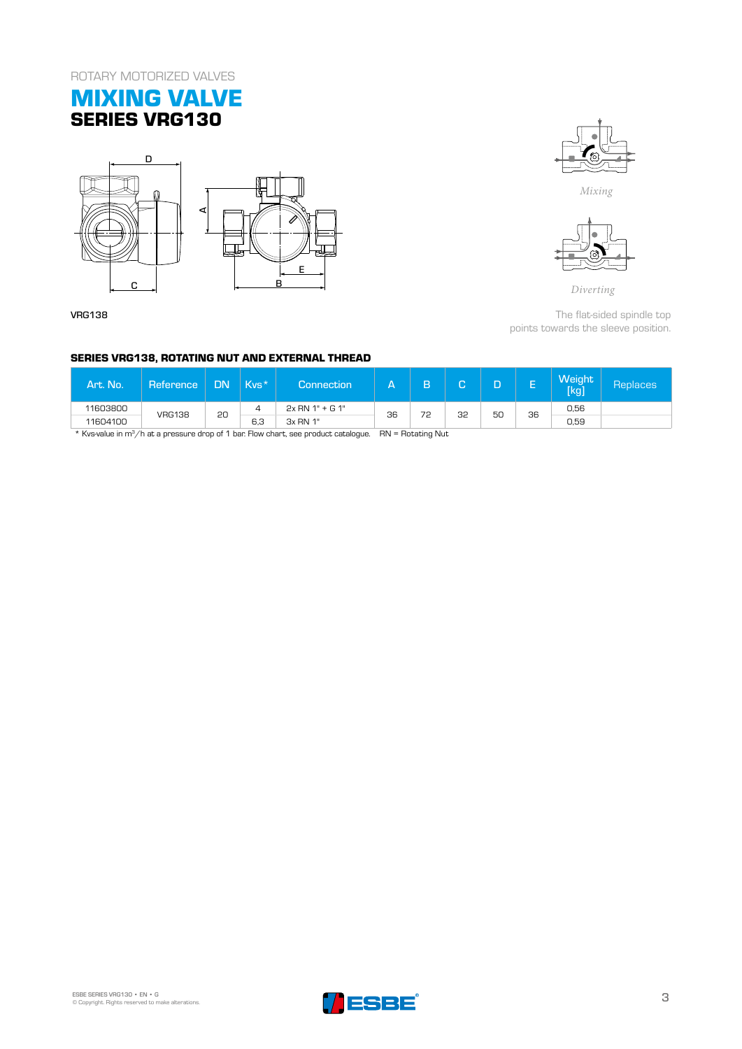# **MIXING VALVE SERIES VRG130**



VRG138



*Mixing*



*Diverting*

The flat-sided spindle top points towards the sleeve position.

### **SERIES VRG138, ROTATING NUT AND EXTERNAL THREAD**

| Art. No.                                                                                                              | Reference     | <b>DN</b> | $Kvs*$ | Connection        | д  | n  | $\sqrt{2}$<br>u |    | ⊢<br>- | Weight<br>[kg] | Replaces' |
|-----------------------------------------------------------------------------------------------------------------------|---------------|-----------|--------|-------------------|----|----|-----------------|----|--------|----------------|-----------|
| 11603800                                                                                                              | <b>VRG138</b> | 20        |        | $2x$ RN 1" + G 1" | 36 | 72 | 32              | 50 | 36     | 0.56           |           |
| 11604100                                                                                                              |               |           | 6.3    | 3x RN 1"          |    |    |                 |    |        | 0.59           |           |
| الله بالم الله عليه الله الله الله الله عليه الموجود عليه الله عليه الله عليه الله عليه عليه الله عل المستقبل الله ال |               |           |        |                   |    |    |                 |    |        |                |           |

Kvs-value in m<sup>3</sup>/h at a pressure drop of 1 bar. Flow chart, see product catalogue.  $RN =$  Rotating Nut